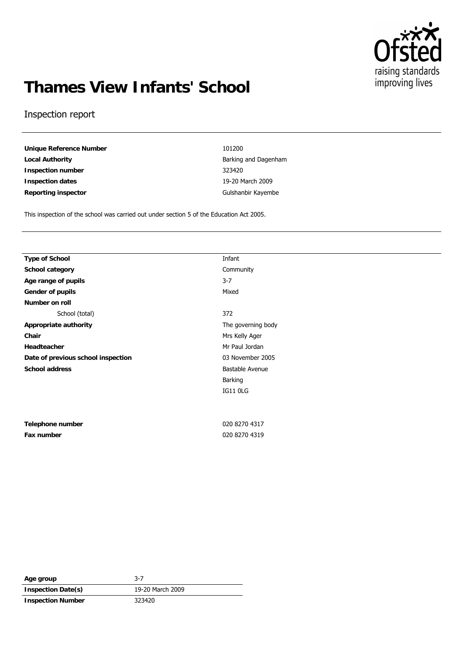

# **Thames View Infants' School**

#### Inspection report

**Unique Reference Number** 101200 **Local Authority** Barking and Dagenham **Inspection number** 323420 **Inspection dates** 19-20 March 2009 Reporting inspector **Contact Contact Contact Contact Contact Contact Contact Contact Contact Contact Contact Contact Contact Contact Contact Contact Contact Contact Contact Contact Contact Contact Contact Contact Contact C** 

This inspection of the school was carried out under section 5 of the Education Act 2005.

| <b>Type of School</b>              | Infant  |
|------------------------------------|---------|
| School category                    | Comm    |
| Age range of pupils                | $3 - 7$ |
| Gender of pupils                   | Mixed   |
| Number on roll                     |         |
| School (total)                     | 372     |
| Appropriate authority              | The q   |
| Chair                              | Mrs K   |
| Headteacher                        | Mr Pa   |
| Date of previous school inspection | 03 No   |
| School address                     | Bastal  |
|                                    |         |

| Telephone number |  |
|------------------|--|
| Fax number       |  |

**Community** The governing body **Chair** Mrs Kelly Ager **Mr Paul Jordan** 03 November 2005 **Bastable Avenue** Barking IG11 0LG

**Telephone number** 020 8270 4317 **Fax number** 020 8270 4319

Age group 3-7 **Inspection Date(s)** 19-20 March 2009 **Inspection Number** 323420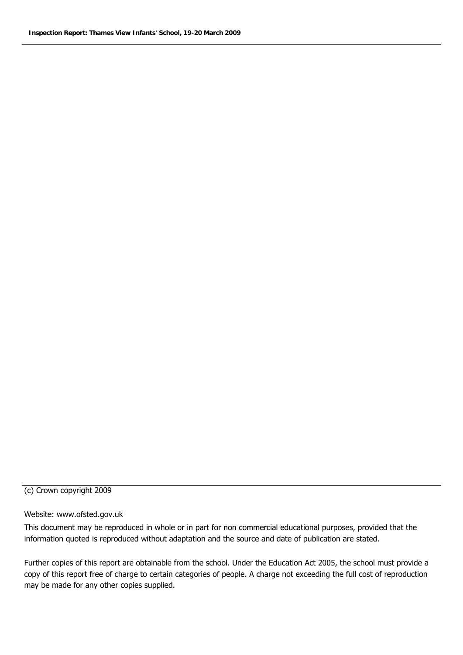#### (c) Crown copyright 2009

#### Website: www.ofsted.gov.uk

This document may be reproduced in whole or in part for non commercial educational purposes, provided that the information quoted is reproduced without adaptation and the source and date of publication are stated.

Further copies of this report are obtainable from the school. Under the Education Act 2005, the school must provide a copy of this report free of charge to certain categories of people. A charge not exceeding the full cost of reproduction may be made for any other copies supplied.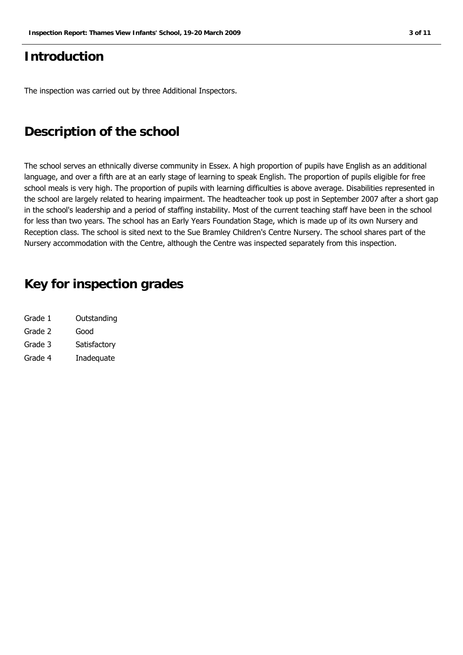## **Introduction**

The inspection was carried out by three Additional Inspectors.

## **Description of the school**

The school serves an ethnically diverse community in Essex. A high proportion of pupils have English as an additional language, and over a fifth are at an early stage of learning to speak English. The proportion of pupils eligible for free school meals is very high. The proportion of pupils with learning difficulties is above average. Disabilities represented in the school are largely related to hearing impairment. The headteacher took up post in September 2007 after a short gap in the school's leadership and a period of staffing instability. Most of the current teaching staff have been in the school for less than two years. The school has an Early Years Foundation Stage, which is made up of its own Nursery and Reception class. The school is sited next to the Sue Bramley Children's Centre Nursery. The school shares part of the Nursery accommodation with the Centre, although the Centre was inspected separately from this inspection.

## **Key for inspection grades**

| Grade 1 | Outstanding  |
|---------|--------------|
| Grade 2 | Good         |
| Grade 3 | Satisfactory |
| Grade 4 | Inadequate   |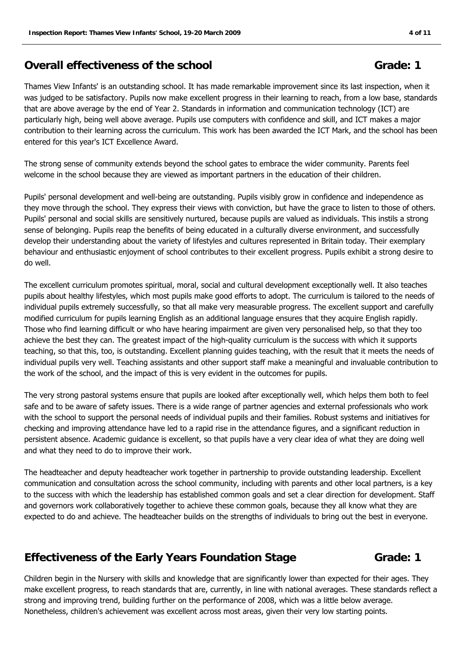### **Overall effectiveness of the school Grade: 1 Grade: 1**

Thames View Infants' is an outstanding school. It has made remarkable improvement since its last inspection, when it was judged to be satisfactory. Pupils now make excellent progress in their learning to reach, from a low base, standards that are above average by the end of Year 2. Standards in information and communication technology (ICT) are particularly high, being well above average. Pupils use computers with confidence and skill, and ICT makes a major contribution to their learning across the curriculum. This work has been awarded the ICT Mark, and the school has been entered for this year's ICT Excellence Award.

The strong sense of community extends beyond the school gates to embrace the wider community. Parents feel welcome in the school because they are viewed as important partners in the education of their children.

Pupils' personal development and well-being are outstanding. Pupils visibly grow in confidence and independence as they move through the school. They express their views with conviction, but have the grace to listen to those of others. Pupils' personal and social skills are sensitively nurtured, because pupils are valued as individuals. This instils a strong sense of belonging. Pupils reap the benefits of being educated in a culturally diverse environment, and successfully develop their understanding about the variety of lifestyles and cultures represented in Britain today. Their exemplary behaviour and enthusiastic enjoyment of school contributes to their excellent progress. Pupils exhibit a strong desire to do well.

The excellent curriculum promotes spiritual, moral, social and cultural development exceptionally well. It also teaches pupils about healthy lifestyles, which most pupils make good efforts to adopt. The curriculum is tailored to the needs of individual pupils extremely successfully, so that all make very measurable progress. The excellent support and carefully modified curriculum for pupils learning English as an additional language ensures that they acquire English rapidly. Those who find learning difficult or who have hearing impairment are given very personalised help, so that they too achieve the best they can. The greatest impact of the high-quality curriculum is the success with which it supports teaching, so that this, too, is outstanding. Excellent planning guides teaching, with the result that it meets the needs of individual pupils very well. Teaching assistants and other support staff make a meaningful and invaluable contribution to the work of the school, and the impact of this is very evident in the outcomes for pupils.

The very strong pastoral systems ensure that pupils are looked after exceptionally well, which helps them both to feel safe and to be aware of safety issues. There is a wide range of partner agencies and external professionals who work with the school to support the personal needs of individual pupils and their families. Robust systems and initiatives for checking and improving attendance have led to a rapid rise in the attendance figures, and a significant reduction in persistent absence. Academic guidance is excellent, so that pupils have a very clear idea of what they are doing well and what they need to do to improve their work.

The headteacher and deputy headteacher work together in partnership to provide outstanding leadership. Excellent communication and consultation across the school community, including with parents and other local partners, is a key to the success with which the leadership has established common goals and set a clear direction for development. Staff and governors work collaboratively together to achieve these common goals, because they all know what they are expected to do and achieve. The headteacher builds on the strengths of individuals to bring out the best in everyone.

### **Effectiveness of the Early Years Foundation Stage Grade: 1**

Children begin in the Nursery with skills and knowledge that are significantly lower than expected for their ages. They make excellent progress, to reach standards that are, currently, in line with national averages. These standards reflect a strong and improving trend, building further on the performance of 2008, which was a little below average. Nonetheless, children's achievement was excellent across most areas, given their very low starting points.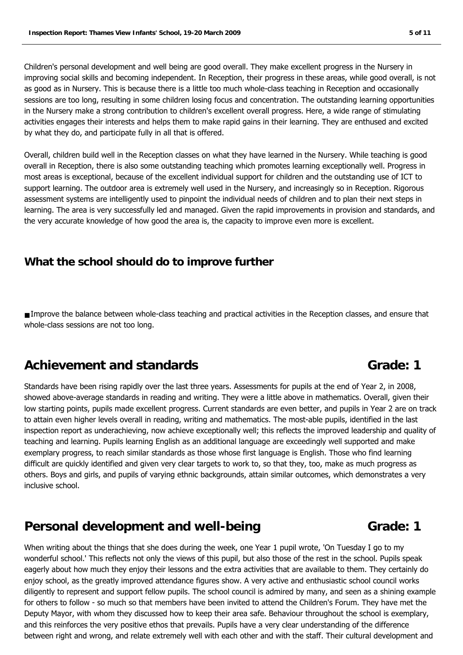Children's personal development and well being are good overall. They make excellent progress in the Nursery in improving social skills and becoming independent. In Reception, their progress in these areas, while good overall, is not as good as in Nursery. This is because there is a little too much whole-class teaching in Reception and occasionally sessions are too long, resulting in some children losing focus and concentration. The outstanding learning opportunities in the Nursery make a strong contribution to children's excellent overall progress. Here, a wide range of stimulating activities engages their interests and helps them to make rapid gains in their learning. They are enthused and excited by what they do, and participate fully in all that is offered.

Overall, children build well in the Reception classes on what they have learned in the Nursery. While teaching is good overall in Reception, there is also some outstanding teaching which promotes learning exceptionally well. Progress in most areas is exceptional, because of the excellent individual support for children and the outstanding use of ICT to support learning. The outdoor area is extremely well used in the Nursery, and increasingly so in Reception. Rigorous assessment systems are intelligently used to pinpoint the individual needs of children and to plan their next steps in learning. The area is very successfully led and managed. Given the rapid improvements in provision and standards, and the very accurate knowledge of how good the area is, the capacity to improve even more is excellent.

### **What the school should do to improve further**

■ Improve the balance between whole-class teaching and practical activities in the Reception classes, and ensure that whole-class sessions are not too long.

## Achievement and standards **Containers Grade:** 1

Standards have been rising rapidly over the last three years. Assessments for pupils at the end of Year 2, in 2008, showed above-average standards in reading and writing. They were a little above in mathematics. Overall, given their low starting points, pupils made excellent progress. Current standards are even better, and pupils in Year 2 are on track to attain even higher levels overall in reading, writing and mathematics. The most-able pupils, identified in the last inspection report as underachieving, now achieve exceptionally well; this reflects the improved leadership and quality of teaching and learning. Pupils learning English as an additional language are exceedingly well supported and make exemplary progress, to reach similar standards as those whose first language is English. Those who find learning difficult are quickly identified and given very clear targets to work to, so that they, too, make as much progress as others. Boys and girls, and pupils of varying ethnic backgrounds, attain similar outcomes, which demonstrates a very inclusive school.

## **Personal development and well-being Theorem Controllery Controllery Grade: 1**

When writing about the things that she does during the week, one Year 1 pupil wrote, 'On Tuesday I go to my wonderful school.' This reflects not only the views of this pupil, but also those of the rest in the school. Pupils speak eagerly about how much they enjoy their lessons and the extra activities that are available to them. They certainly do enjoy school, as the greatly improved attendance figures show. A very active and enthusiastic school council works diligently to represent and support fellow pupils. The school council is admired by many, and seen as a shining example for others to follow - so much so that members have been invited to attend the Children's Forum. They have met the Deputy Mayor, with whom they discussed how to keep their area safe. Behaviour throughout the school is exemplary, and this reinforces the very positive ethos that prevails. Pupils have a very clear understanding of the difference between right and wrong, and relate extremely well with each other and with the staff. Their cultural development and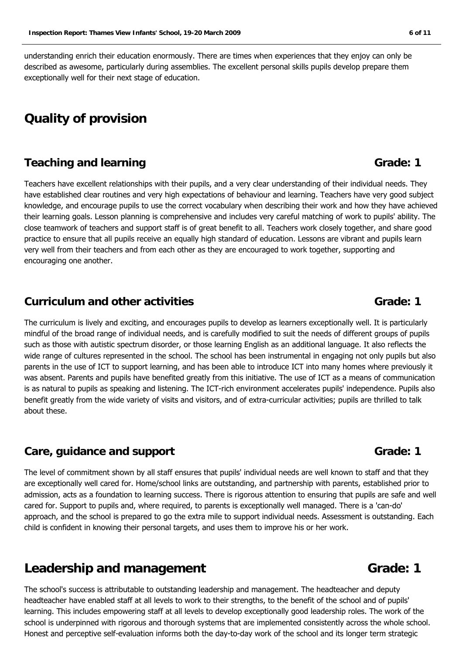understanding enrich their education enormously. There are times when experiences that they enjoy can only be described as awesome, particularly during assemblies. The excellent personal skills pupils develop prepare them exceptionally well for their next stage of education.

## **Quality of provision**

### **Teaching and learning and strate and strate and strate and strate and strate and Grade: 1**

Teachers have excellent relationships with their pupils, and a very clear understanding of their individual needs. They have established clear routines and very high expectations of behaviour and learning. Teachers have very good subject knowledge, and encourage pupils to use the correct vocabulary when describing their work and how they have achieved their learning goals. Lesson planning is comprehensive and includes very careful matching of work to pupils' ability. The close teamwork of teachers and support staff is of great benefit to all. Teachers work closely together, and share good practice to ensure that all pupils receive an equally high standard of education. Lessons are vibrant and pupils learn very well from their teachers and from each other as they are encouraged to work together, supporting and encouraging one another.

#### **Curriculum and other activities Grade: 1 Grade: 1**

The curriculum is lively and exciting, and encourages pupils to develop as learners exceptionally well. It is particularly mindful of the broad range of individual needs, and is carefully modified to suit the needs of different groups of pupils such as those with autistic spectrum disorder, or those learning English as an additional language. It also reflects the wide range of cultures represented in the school. The school has been instrumental in engaging not only pupils but also parents in the use of ICT to support learning, and has been able to introduce ICT into many homes where previously it was absent. Parents and pupils have benefited greatly from this initiative. The use of ICT as a means of communication is as natural to pupils as speaking and listening. The ICT-rich environment accelerates pupils' independence. Pupils also benefit greatly from the wide variety of visits and visitors, and of extra-curricular activities; pupils are thrilled to talk about these.

#### **Care, guidance and support Grade: 1 Grade: 1**

The level of commitment shown by all staff ensures that pupils' individual needs are well known to staff and that they are exceptionally well cared for. Home/school links are outstanding, and partnership with parents, established prior to admission, acts as a foundation to learning success. There is rigorous attention to ensuring that pupils are safe and well cared for. Support to pupils and, where required, to parents is exceptionally well managed. There is a 'can-do' approach, and the school is prepared to go the extra mile to support individual needs. Assessment is outstanding. Each child is confident in knowing their personal targets, and uses them to improve his or her work.

## **Leadership and management Grade: 1**

The school's success is attributable to outstanding leadership and management. The headteacher and deputy headteacher have enabled staff at all levels to work to their strengths, to the benefit of the school and of pupils' learning. This includes empowering staff at all levels to develop exceptionally good leadership roles. The work of the school is underpinned with rigorous and thorough systems that are implemented consistently across the whole school. Honest and perceptive self-evaluation informs both the day-to-day work of the school and its longer term strategic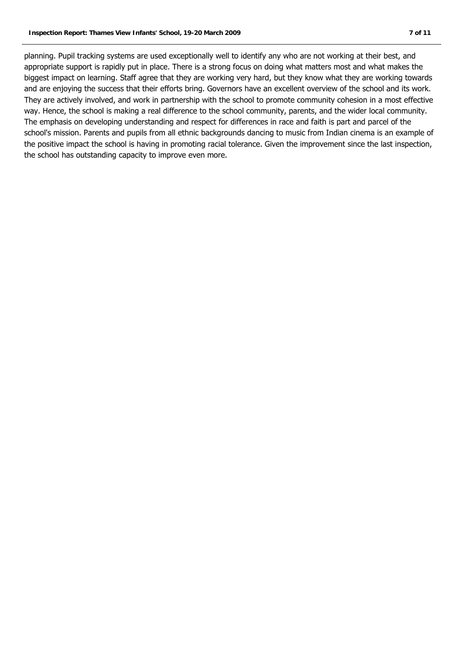planning. Pupil tracking systems are used exceptionally well to identify any who are not working at their best, and appropriate support is rapidly put in place. There is a strong focus on doing what matters most and what makes the biggest impact on learning. Staff agree that they are working very hard, but they know what they are working towards and are enjoying the success that their efforts bring. Governors have an excellent overview of the school and its work. They are actively involved, and work in partnership with the school to promote community cohesion in a most effective way. Hence, the school is making a real difference to the school community, parents, and the wider local community. The emphasis on developing understanding and respect for differences in race and faith is part and parcel of the school's mission. Parents and pupils from all ethnic backgrounds dancing to music from Indian cinema is an example of the positive impact the school is having in promoting racial tolerance. Given the improvement since the last inspection, the school has outstanding capacity to improve even more.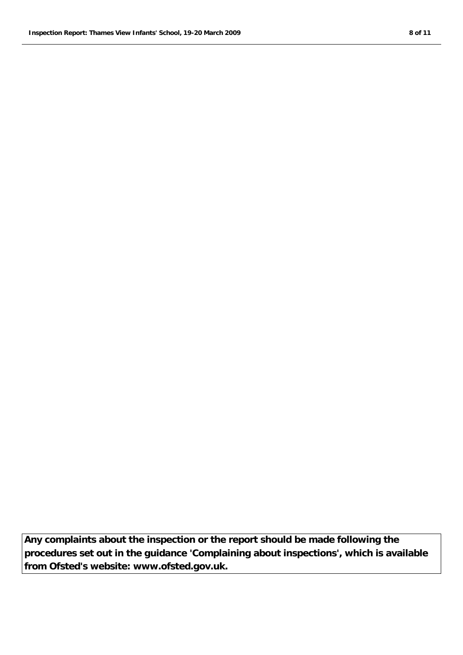**Any complaints about the inspection or the report should be made following the procedures set out in the guidance 'Complaining about inspections', which is available from Ofsted's website: www.ofsted.gov.uk.**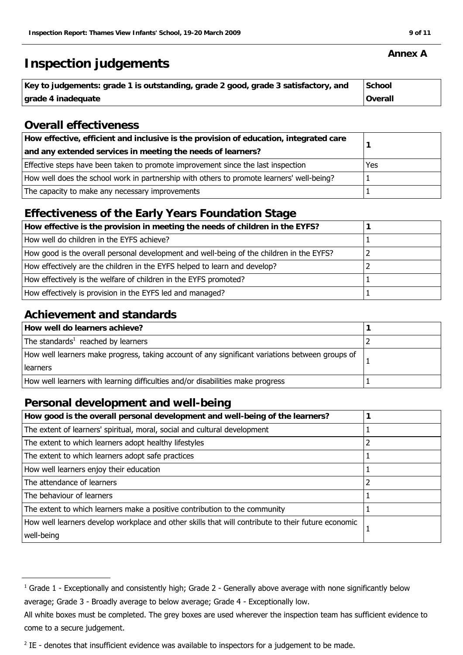## **Inspection judgements**

| Key to judgements: grade 1 is outstanding, grade 2 good, grade 3 satisfactory, and | School         |
|------------------------------------------------------------------------------------|----------------|
| grade 4 inadequate                                                                 | <b>Overall</b> |

### **Overall effectiveness**

| How effective, efficient and inclusive is the provision of education, integrated care     |     |
|-------------------------------------------------------------------------------------------|-----|
| and any extended services in meeting the needs of learners?                               |     |
| Effective steps have been taken to promote improvement since the last inspection          | Yes |
| How well does the school work in partnership with others to promote learners' well-being? |     |
| The capacity to make any necessary improvements                                           |     |

## **Effectiveness of the Early Years Foundation Stage**

| How effective is the provision in meeting the needs of children in the EYFS?             |  |
|------------------------------------------------------------------------------------------|--|
| How well do children in the EYFS achieve?                                                |  |
| How good is the overall personal development and well-being of the children in the EYFS? |  |
| How effectively are the children in the EYFS helped to learn and develop?                |  |
| How effectively is the welfare of children in the EYFS promoted?                         |  |
| How effectively is provision in the EYFS led and managed?                                |  |

### **Achievement and standards**

| How well do learners achieve?                                                                   |  |
|-------------------------------------------------------------------------------------------------|--|
| The standards <sup>1</sup> reached by learners                                                  |  |
| How well learners make progress, taking account of any significant variations between groups of |  |
| learners                                                                                        |  |
| How well learners with learning difficulties and/or disabilities make progress                  |  |

## **Personal development and well-being**

| How good is the overall personal development and well-being of the learners?                       |  |
|----------------------------------------------------------------------------------------------------|--|
| The extent of learners' spiritual, moral, social and cultural development                          |  |
| The extent to which learners adopt healthy lifestyles                                              |  |
| The extent to which learners adopt safe practices                                                  |  |
| How well learners enjoy their education                                                            |  |
| The attendance of learners                                                                         |  |
| The behaviour of learners                                                                          |  |
| The extent to which learners make a positive contribution to the community                         |  |
| How well learners develop workplace and other skills that will contribute to their future economic |  |
| well-being                                                                                         |  |

#### **Annex A**

 $^1$  Grade 1 - Exceptionally and consistently high; Grade 2 - Generally above average with none significantly below average; Grade 3 - Broadly average to below average; Grade 4 - Exceptionally low.

All white boxes must be completed. The grey boxes are used wherever the inspection team has sufficient evidence to come to a secure judgement.

 $2$  IE - denotes that insufficient evidence was available to inspectors for a judgement to be made.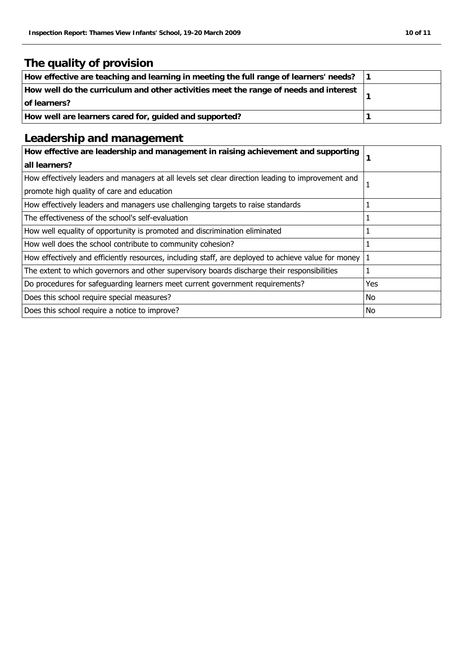## **The quality of provision**

| How effective are teaching and learning in meeting the full range of learners' needs? |  |
|---------------------------------------------------------------------------------------|--|
| How well do the curriculum and other activities meet the range of needs and interest  |  |
| of learners?                                                                          |  |
| How well are learners cared for, guided and supported?                                |  |

## **Leadership and management**

| How effective are leadership and management in raising achievement and supporting<br>all learners?  |     |
|-----------------------------------------------------------------------------------------------------|-----|
| How effectively leaders and managers at all levels set clear direction leading to improvement and   |     |
| promote high quality of care and education                                                          |     |
| How effectively leaders and managers use challenging targets to raise standards                     |     |
| The effectiveness of the school's self-evaluation                                                   |     |
| How well equality of opportunity is promoted and discrimination eliminated                          |     |
| How well does the school contribute to community cohesion?                                          |     |
| How effectively and efficiently resources, including staff, are deployed to achieve value for money |     |
| The extent to which governors and other supervisory boards discharge their responsibilities         |     |
| Do procedures for safeguarding learners meet current government requirements?                       | Yes |
| Does this school require special measures?                                                          | No  |
| Does this school require a notice to improve?                                                       | No  |